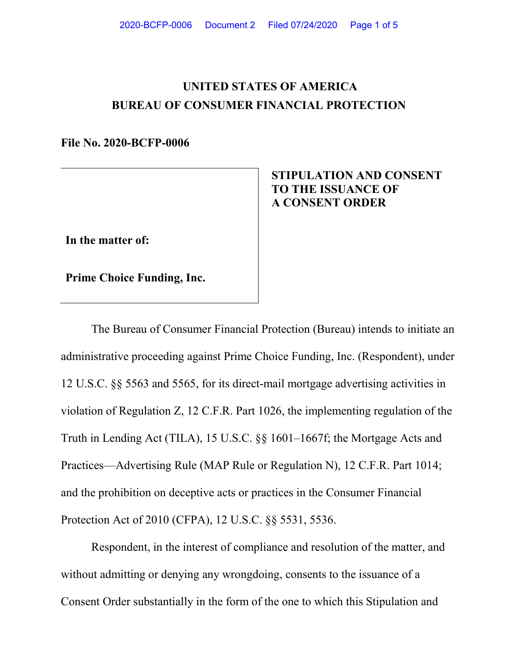# **UNITED STATES OF AMERICA BUREAU OF CONSUMER FINANCIAL PROTECTION**

**File No. 2020-BCFP-0006** 

## **STIPULATION AND CONSENT TO THE ISSUANCE OF A CONSENT ORDER**

**In the matter of:**

**Prime Choice Funding, Inc.**

The Bureau of Consumer Financial Protection (Bureau) intends to initiate an administrative proceeding against Prime Choice Funding, Inc. (Respondent), under 12 U.S.C. §§ 5563 and 5565, for its direct-mail mortgage advertising activities in violation of Regulation Z, 12 C.F.R. Part 1026, the implementing regulation of the Truth in Lending Act (TILA), 15 U.S.C. §§ 1601–1667f; the Mortgage Acts and Practices—Advertising Rule (MAP Rule or Regulation N), 12 C.F.R. Part 1014; and the prohibition on deceptive acts or practices in the Consumer Financial Protection Act of 2010 (CFPA), 12 U.S.C. §§ 5531, 5536.

Respondent, in the interest of compliance and resolution of the matter, and without admitting or denying any wrongdoing, consents to the issuance of a Consent Order substantially in the form of the one to which this Stipulation and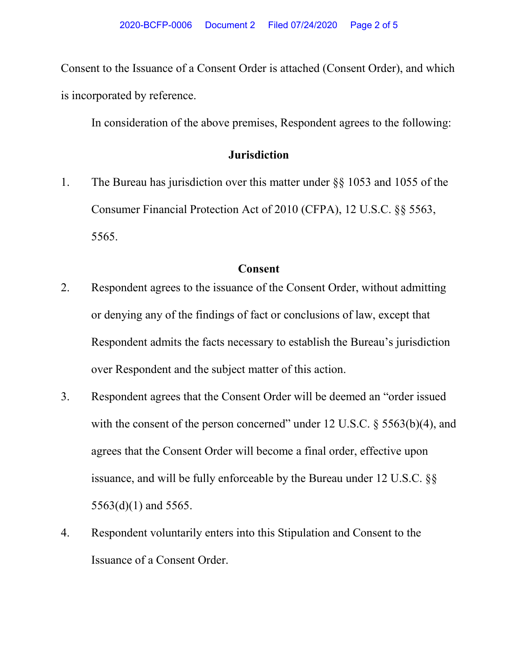Consent to the Issuance of a Consent Order is attached (Consent Order), and which is incorporated by reference.

In consideration of the above premises, Respondent agrees to the following:

# **Jurisdiction**

1. The Bureau has jurisdiction over this matter under §§ 1053 and 1055 of the Consumer Financial Protection Act of 2010 (CFPA), 12 U.S.C. §§ 5563, 5565.

## **Consent**

- 2. Respondent agrees to the issuance of the Consent Order, without admitting or denying any of the findings of fact or conclusions of law, except that Respondent admits the facts necessary to establish the Bureau's jurisdiction over Respondent and the subject matter of this action.
- 3. Respondent agrees that the Consent Order will be deemed an "order issued with the consent of the person concerned" under 12 U.S.C. § 5563(b)(4), and agrees that the Consent Order will become a final order, effective upon issuance, and will be fully enforceable by the Bureau under 12 U.S.C. §§ 5563(d)(1) and 5565.
- 4. Respondent voluntarily enters into this Stipulation and Consent to the Issuance of a Consent Order.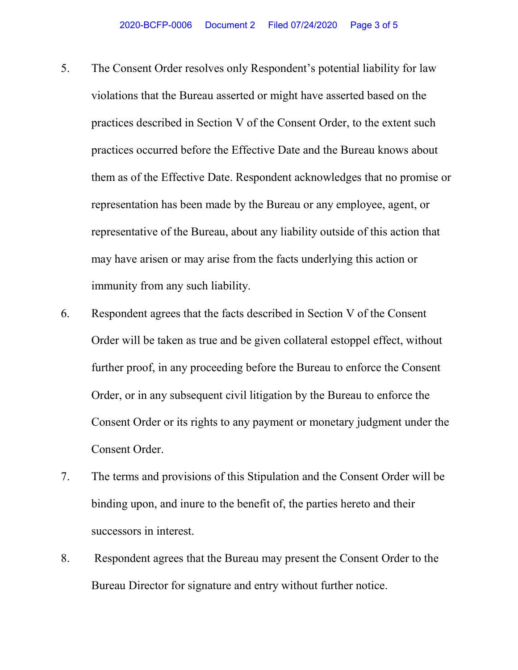- 5. The Consent Order resolves only Respondent's potential liability for law violations that the Bureau asserted or might have asserted based on the practices described in Section V of the Consent Order, to the extent such practices occurred before the Effective Date and the Bureau knows about them as of the Effective Date. Respondent acknowledges that no promise or representation has been made by the Bureau or any employee, agent, or representative of the Bureau, about any liability outside of this action that may have arisen or may arise from the facts underlying this action or immunity from any such liability.
- 6. Respondent agrees that the facts described in Section V of the Consent Order will be taken as true and be given collateral estoppel effect, without further proof, in any proceeding before the Bureau to enforce the Consent Order, or in any subsequent civil litigation by the Bureau to enforce the Consent Order or its rights to any payment or monetary judgment under the Consent Order.
- 7. The terms and provisions of this Stipulation and the Consent Order will be binding upon, and inure to the benefit of, the parties hereto and their successors in interest.
- 8. Respondent agrees that the Bureau may present the Consent Order to the Bureau Director for signature and entry without further notice.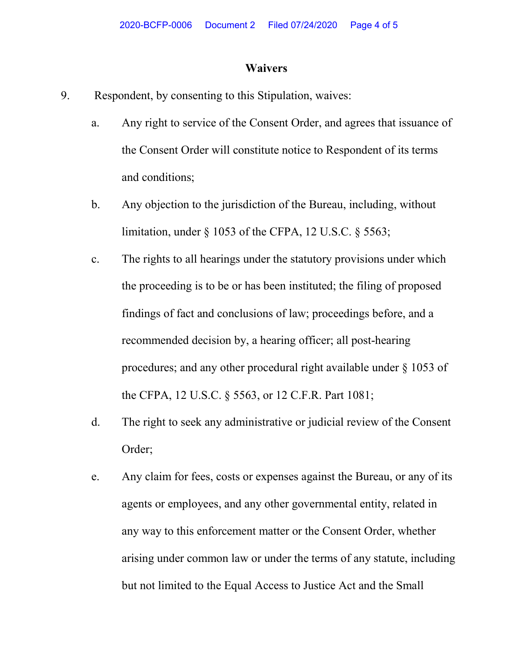#### **Waivers**

- 9. Respondent, by consenting to this Stipulation, waives:
	- a. Any right to service of the Consent Order, and agrees that issuance of the Consent Order will constitute notice to Respondent of its terms and conditions;
	- b. Any objection to the jurisdiction of the Bureau, including, without limitation, under § 1053 of the CFPA, 12 U.S.C. § 5563;
	- c. The rights to all hearings under the statutory provisions under which the proceeding is to be or has been instituted; the filing of proposed findings of fact and conclusions of law; proceedings before, and a recommended decision by, a hearing officer; all post-hearing procedures; and any other procedural right available under § 1053 of the CFPA, 12 U.S.C. § 5563, or 12 C.F.R. Part 1081;
	- d. The right to seek any administrative or judicial review of the Consent Order;
	- e. Any claim for fees, costs or expenses against the Bureau, or any of its agents or employees, and any other governmental entity, related in any way to this enforcement matter or the Consent Order, whether arising under common law or under the terms of any statute, including but not limited to the Equal Access to Justice Act and the Small